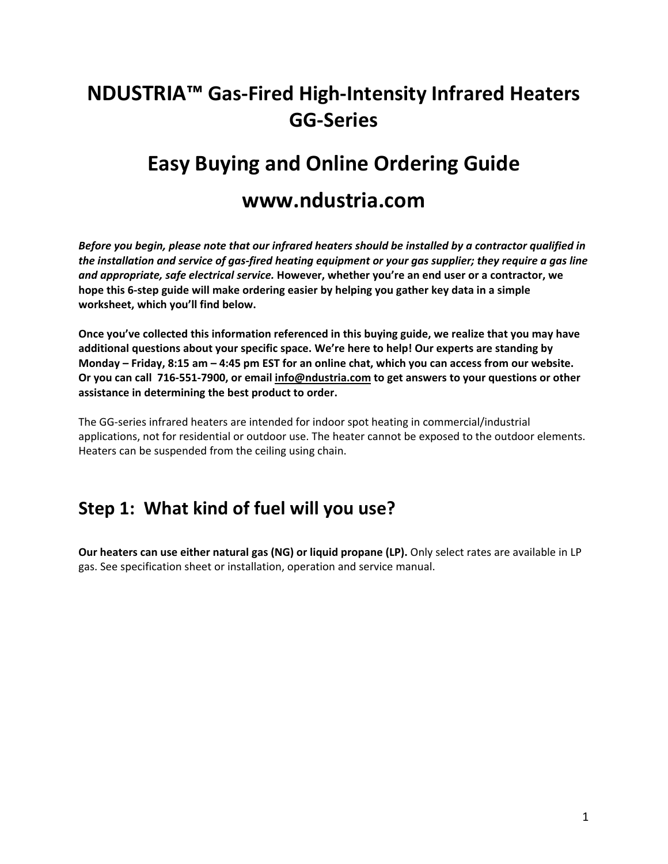# **NDUSTRIA™ Gas‐Fired High‐Intensity Infrared Heaters GG‐Series**

# **Easy Buying and Online Ordering Guide**

### **www.ndustria.com**

*Before you begin, please note that our infrared heaters should be installed by a contractor qualified in the installation and service of gas‐fired heating equipment or your gas supplier; they require a gas line and appropriate, safe electrical service.* **However, whether you're an end user or a contractor, we hope this 6‐step guide will make ordering easier by helping you gather key data in a simple worksheet, which you'll find below.** 

**Once you've collected this information referenced in this buying guide, we realize that you may have additional questions about your specific space. We're here to help! Our experts are standing by Monday – Friday, 8:15 am – 4:45 pm EST for an online chat, which you can access from our website. Or you can call 716‐551‐7900, or email info@ndustria.com to get answers to your questions or other assistance in determining the best product to order.** 

The GG‐series infrared heaters are intended for indoor spot heating in commercial/industrial applications, not for residential or outdoor use. The heater cannot be exposed to the outdoor elements. Heaters can be suspended from the ceiling using chain.

### **Step 1: What kind of fuel will you use?**

**Our heaters can use either natural gas (NG) or liquid propane (LP).** Only select rates are available in LP gas. See specification sheet or installation, operation and service manual.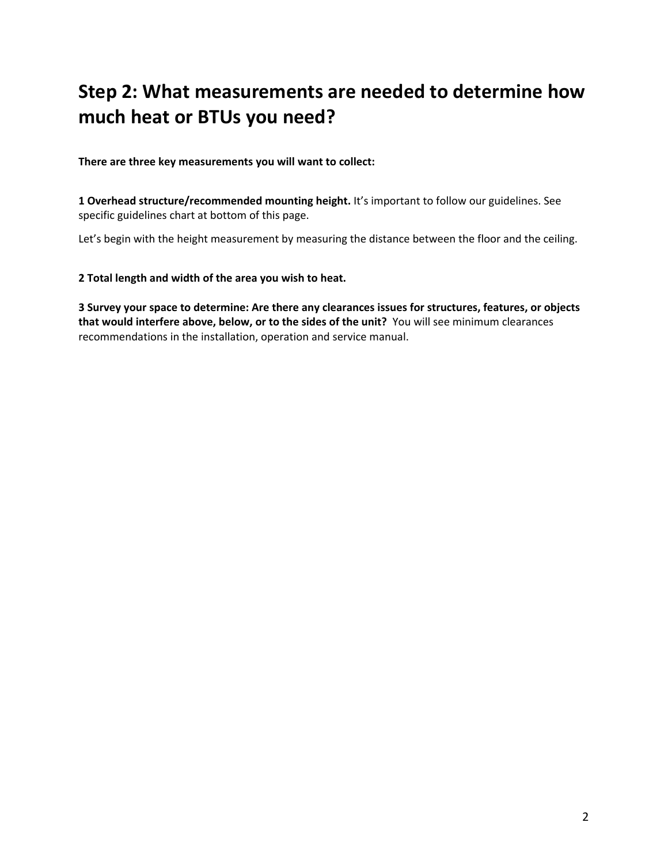## **Step 2: What measurements are needed to determine how much heat or BTUs you need?**

**There are three key measurements you will want to collect:**

**1 Overhead structure/recommended mounting height.** It's important to follow our guidelines. See specific guidelines chart at bottom of this page.

Let's begin with the height measurement by measuring the distance between the floor and the ceiling.

**2 Total length and width of the area you wish to heat.** 

**3 Survey your space to determine: Are there any clearances issues for structures, features, or objects that would interfere above, below, or to the sides of the unit?** You will see minimum clearances recommendations in the installation, operation and service manual.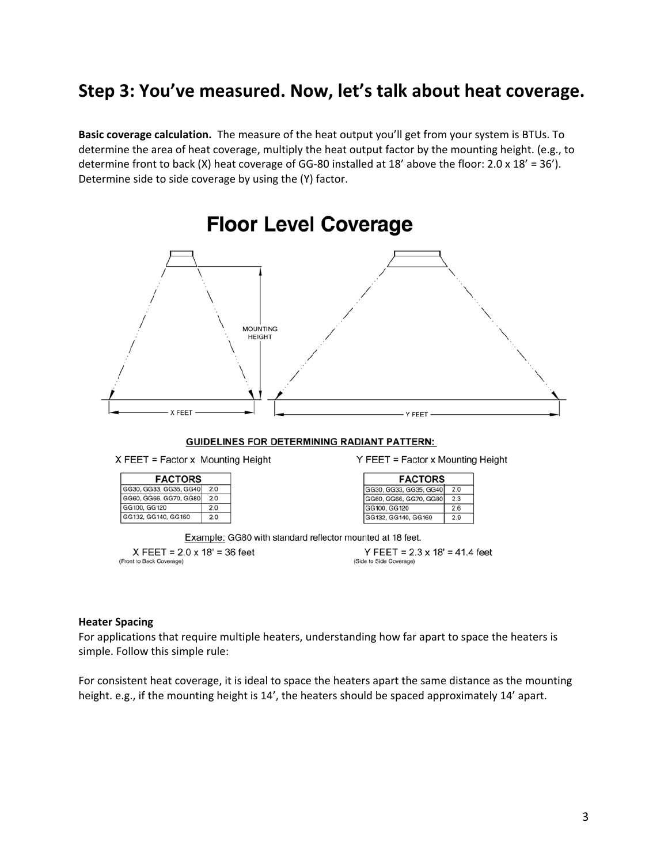### **Step 3: You've measured. Now, let's talk about heat coverage.**

**Basic coverage calculation.**  The measure of the heat output you'll get from your system is BTUs. To determine the area of heat coverage, multiply the heat output factor by the mounting height. (e.g., to determine front to back (X) heat coverage of GG-80 installed at 18' above the floor:  $2.0 \times 18' = 36'$ ). Determine side to side coverage by using the (Y) factor.



#### **Heater Spacing**

For applications that require multiple heaters, understanding how far apart to space the heaters is simple. Follow this simple rule:

For consistent heat coverage, it is ideal to space the heaters apart the same distance as the mounting height. e.g., if the mounting height is 14', the heaters should be spaced approximately 14' apart.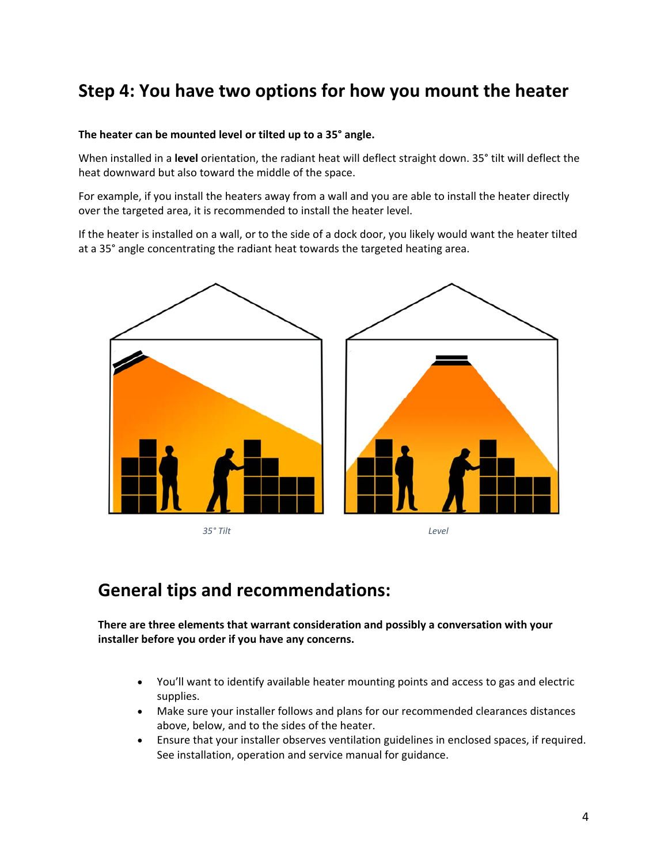### **Step 4: You have two options for how you mount the heater**

#### **The heater can be mounted level or tilted up to a 35° angle.**

When installed in a **level** orientation, the radiant heat will deflect straight down. 35° tilt will deflect the heat downward but also toward the middle of the space.

For example, if you install the heaters away from a wall and you are able to install the heater directly over the targeted area, it is recommended to install the heater level.

If the heater is installed on a wall, or to the side of a dock door, you likely would want the heater tilted at a 35° angle concentrating the radiant heat towards the targeted heating area.



### **General tips and recommendations:**

**There are three elements that warrant consideration and possibly a conversation with your installer before you order if you have any concerns.** 

- You'll want to identify available heater mounting points and access to gas and electric supplies.
- Make sure your installer follows and plans for our recommended clearances distances above, below, and to the sides of the heater.
- Ensure that your installer observes ventilation guidelines in enclosed spaces, if required. See installation, operation and service manual for guidance.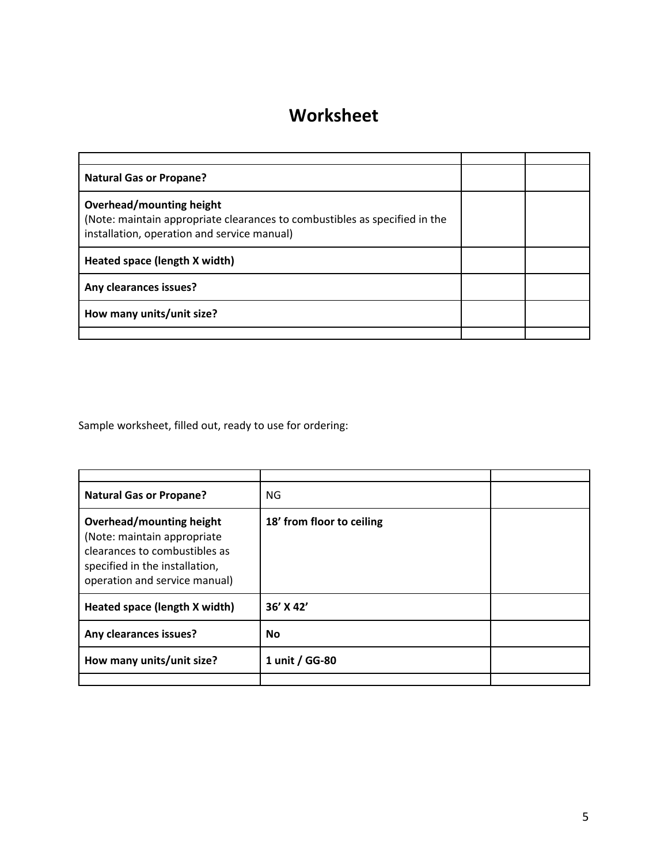## **Worksheet**

| <b>Natural Gas or Propane?</b>                                                                                                                        |  |
|-------------------------------------------------------------------------------------------------------------------------------------------------------|--|
| Overhead/mounting height<br>(Note: maintain appropriate clearances to combustibles as specified in the<br>installation, operation and service manual) |  |
| Heated space (length X width)                                                                                                                         |  |
| Any clearances issues?                                                                                                                                |  |
| How many units/unit size?                                                                                                                             |  |
|                                                                                                                                                       |  |

Sample worksheet, filled out, ready to use for ordering:

| <b>Natural Gas or Propane?</b>                                                                                                                              | <b>NG</b>                 |  |
|-------------------------------------------------------------------------------------------------------------------------------------------------------------|---------------------------|--|
| Overhead/mounting height<br>(Note: maintain appropriate<br>clearances to combustibles as<br>specified in the installation,<br>operation and service manual) | 18' from floor to ceiling |  |
| Heated space (length X width)                                                                                                                               | 36' X 42'                 |  |
| Any clearances issues?                                                                                                                                      | No                        |  |
| How many units/unit size?                                                                                                                                   | 1 unit / GG-80            |  |
|                                                                                                                                                             |                           |  |